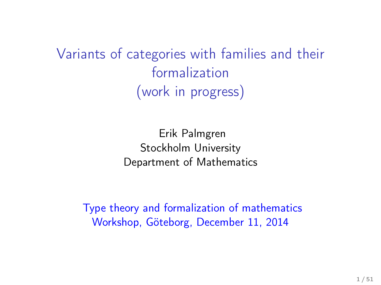Variants of categories with families and their formalization (work in progress)

> Erik Palmgren Stockholm University Department of Mathematics

Type theory and formalization of mathematics Workshop, Göteborg, December 11, 2014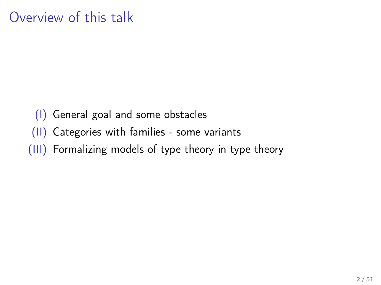(I) General goal and some obstacles (II) Categories with families - some variants (III) Formalizing models of type theory in type theory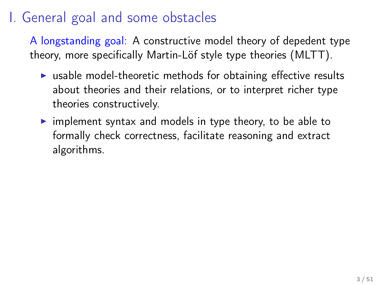## I. General goal and some obstacles

A longstanding goal: A constructive model theory of depedent type theory, more specifically Martin-Löf style type theories (MLTT).

- $\triangleright$  usable model-theoretic methods for obtaining effective results about theories and their relations, or to interpret richer type theories constructively.
- $\triangleright$  implement syntax and models in type theory, to be able to formally check correctness, facilitate reasoning and extract algorithms.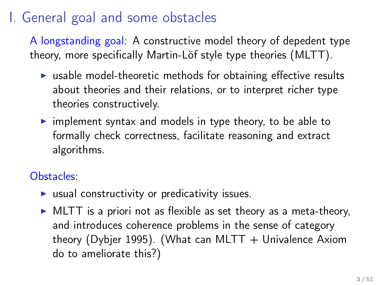## I. General goal and some obstacles

A longstanding goal: A constructive model theory of depedent type theory, more specifically Martin-Löf style type theories (MLTT).

- $\triangleright$  usable model-theoretic methods for obtaining effective results about theories and their relations, or to interpret richer type theories constructively.
- $\triangleright$  implement syntax and models in type theory, to be able to formally check correctness, facilitate reasoning and extract algorithms.

#### Obstacles:

- $\blacktriangleright$  usual constructivity or predicativity issues.
- $\triangleright$  MLTT is a priori not as flexible as set theory as a meta-theory, and introduces coherence problems in the sense of category theory (Dybjer 1995). (What can MLTT  $+$  Univalence Axiom do to ameliorate this?)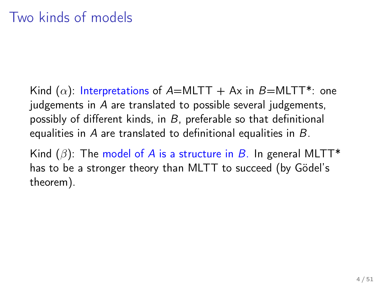Kind  $(\alpha)$ : Interpretations of A=MLTT + Ax in B=MLTT\*: one judgements in A are translated to possible several judgements, possibly of different kinds, in  $B$ , preferable so that definitional equalities in A are translated to definitional equalities in B.

Kind  $(\beta)$ : The model of A is a structure in B. In general MLTT\* has to be a stronger theory than MLTT to succeed (by Gödel's theorem).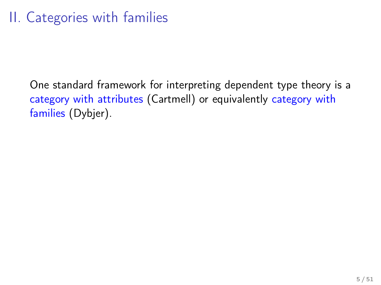One standard framework for interpreting dependent type theory is a category with attributes (Cartmell) or equivalently category with families (Dybjer).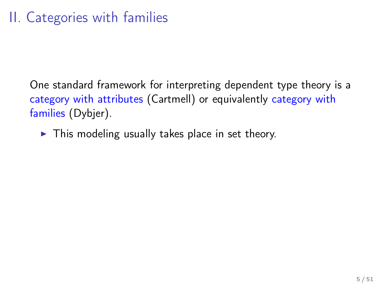One standard framework for interpreting dependent type theory is a category with attributes (Cartmell) or equivalently category with families (Dybjer).

 $\triangleright$  This modeling usually takes place in set theory.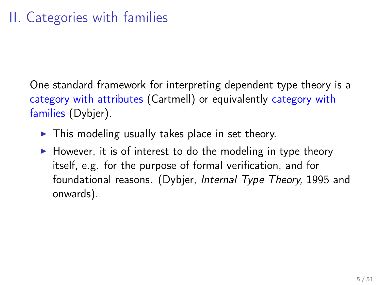One standard framework for interpreting dependent type theory is a category with attributes (Cartmell) or equivalently category with families (Dybjer).

- $\triangleright$  This modeling usually takes place in set theory.
- $\blacktriangleright$  However, it is of interest to do the modeling in type theory itself, e.g. for the purpose of formal verification, and for foundational reasons. (Dybjer, Internal Type Theory, 1995 and onwards).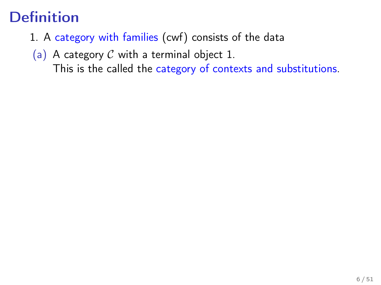# Definition

- 1. A category with families (cwf) consists of the data
- (a) A category  $C$  with a terminal object 1. This is the called the category of contexts and substitutions.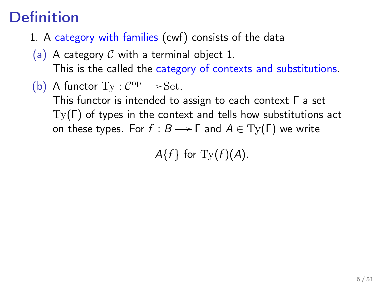# **Definition**

- 1. A category with families (cwf) consists of the data
- (a) A category  $\mathcal C$  with a terminal object 1. This is the called the category of contexts and substitutions.
- (b) A functor  $Ty : C^{op} \longrightarrow Set$ .

This functor is intended to assign to each context Γ a set  $Tv(\Gamma)$  of types in the context and tells how substitutions act on these types. For  $f : B \longrightarrow \Gamma$  and  $A \in Ty(\Gamma)$  we write

 $A\{f\}$  for  $\mathrm{Ty}(f)(A)$ .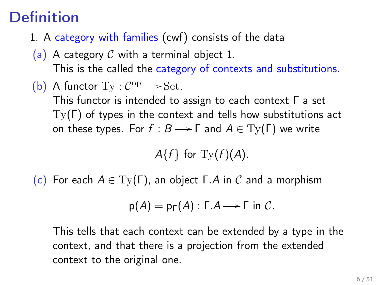# **Definition**

- 1. A category with families (cwf) consists of the data
- (a) A category C with a terminal object 1. This is the called the category of contexts and substitutions.
- (b) A functor  $Ty : C^{op} \longrightarrow Set$ . This functor is intended to assign to each context Γ a set Ty(Γ) of types in the context and tells how substitutions act on these types. For  $f : B \longrightarrow \Gamma$  and  $A \in Ty(\Gamma)$  we write

 $A\{f\}$  for  $\mathrm{Ty}(f)(A)$ .

(c) For each  $A \in Ty(\Gamma)$ , an object  $\Gamma.A$  in C and a morphism

$$
p(A) = p_{\Gamma}(A) : \Gamma.A \longrightarrow \Gamma \text{ in } C.
$$

This tells that each context can be extended by a type in the context, and that there is a projection from the extended context to the original one.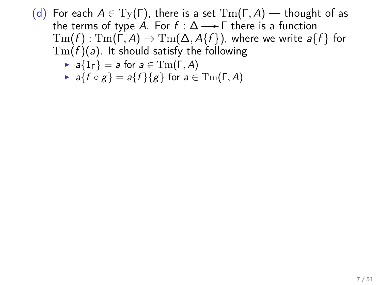- (d) For each  $A \in Ty(\Gamma)$ , there is a set  $\mathrm{Tm}(\Gamma, A)$  thought of as the terms of type A. For  $f : \Delta \longrightarrow \Gamma$  there is a function  $\mathrm{Tm}(f) : \mathrm{Tm}(\Gamma, A) \to \mathrm{Tm}(\Delta, A\{f\})$ , where we write  $a\{f\}$  for  $Tm(f)(a)$ . It should satisfy the following
	- $\blacktriangleright$  a{1<sub>Γ</sub>} = a for a  $\in$  Tm( $\Gamma$ , A)
	- $\blacktriangleright$  a{f  $\circ$  g} = a{f}{g} for  $a \in \text{Im}(\Gamma, A)$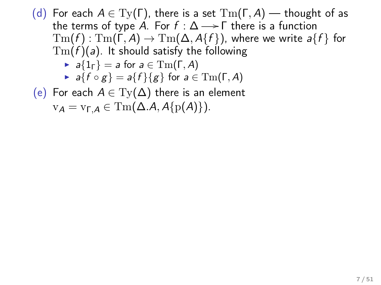(d) For each  $A \in Ty(\Gamma)$ , there is a set  $\mathrm{Tm}(\Gamma, A)$  — thought of as the terms of type A. For  $f : \Delta \longrightarrow \Gamma$  there is a function  $\mathrm{Tm}(f) : \mathrm{Tm}(\Gamma, A) \to \mathrm{Tm}(\Delta, A\{f\})$ , where we write  $a\{f\}$  for  $Tm(f)(a)$ . It should satisfy the following  $\blacktriangleright$  a{1<sub>Γ</sub>} = a for  $a \in \mathrm{Tm}(\Gamma, A)$  $\blacktriangleright$  a{f  $\circ$  g} = a{f}{g} for  $a \in \text{Im}(\Gamma, A)$ 

(e) For each  $A \in Ty(\Delta)$  there is an element

 $v_A = v_{\text{A}} \in \text{Tm}(\Delta.A, A\{p(A)\}).$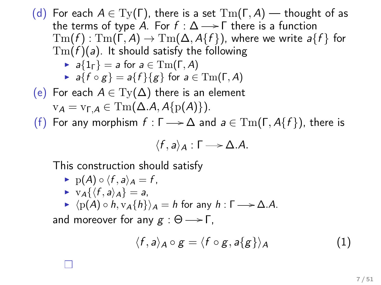\n- (d) For each 
$$
A \in \mathrm{Ty}(\Gamma)
$$
, there is a set  $\mathrm{Tm}(\Gamma, A)$  — thought of as the terms of type A. For  $f : \Delta \longrightarrow \Gamma$  there is a function  $\mathrm{Tm}(f) : \mathrm{Tm}(\Gamma, A) \to \mathrm{Tm}(\Delta, A\{f\})$ , where we write  $a\{f\}$  for  $\mathrm{Tm}(f)(a)$ . It should satisfy the following  $\star a\{1_{\Gamma}\} = a$  for  $a \in \mathrm{Tm}(\Gamma, A)$  and  $\star a\{f \circ g\} = a\{f\}\{g\}$  for  $a \in \mathrm{Tm}(\Gamma, A)$ .
\n- (e) For each  $A \in \mathrm{Ty}(\Delta)$  there is an element  $\mathrm{v}_A = \mathrm{v}_{\Gamma,A} \in \mathrm{Tm}(\Delta.A, A\{p(A)\})$ .
\n- (f) For any morphism  $f : \Gamma \longrightarrow \Delta$  and  $a \in \mathrm{Tm}(\Gamma, A\{f\})$ , there is
\n

$$
\langle f,a\rangle_A:\Gamma\longrightarrow\Delta.A.
$$

This construction should satisfy

$$
\blacktriangleright \ \mathrm{p}(A) \circ \langle f, a \rangle_A = f,
$$

$$
\blacktriangleright \ \mathbf{v}_{\mathcal{A}}\{\langle f,a\rangle_{\mathcal{A}}\} = a,
$$

 $\blacktriangleright$   $\langle p(A) \circ h, v_A\{h\}\rangle_A = h$  for any  $h : \Gamma \longrightarrow \Delta.A$ .

and moreover for any  $g : \Theta \longrightarrow \Gamma$ ,

$$
\langle f, a \rangle_A \circ g = \langle f \circ g, a \{g\} \rangle_A \tag{1}
$$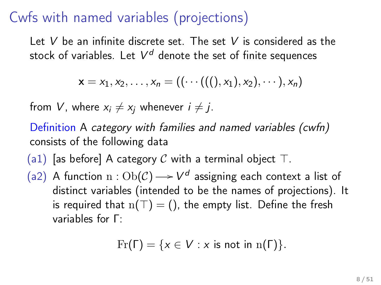### Cwfs with named variables (projections)

Let V be an infinite discrete set. The set V is considered as the stock of variables. Let  $\mathcal{V}^d$  denote the set of finite sequences

$$
\mathbf{x} = x_1, x_2, \ldots, x_n = ((\cdots (((1), x_1), x_2), \cdots), x_n)
$$

from V, where  $x_i \neq x_j$  whenever  $i \neq j$ .

Definition A category with families and named variables (cwfn) consists of the following data

- (a1) [as before] A category C with a terminal object  $\top$ .
- (a2) A function  $n: Ob(\mathcal{C}) \longrightarrow V^d$  assigning each context a list of distinct variables (intended to be the names of projections). It is required that  $n(T) = ($ ), the empty list. Define the fresh variables for Γ:

$$
\Pr(\Gamma) = \{x \in V : x \text{ is not in } \mathrm{n}(\Gamma)\}.
$$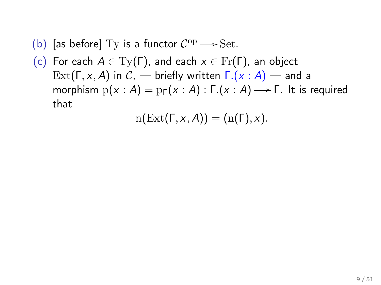- (b) [as before] Ty is a functor  $C^{\rm op} \longrightarrow$  Set.
- (c) For each  $A \in Ty(\Gamma)$ , and each  $x \in Fr(\Gamma)$ , an object Ext(Γ, x, A) in C, — briefly written  $Γ(x : A)$  — and a morphism  $p(x : A) = p_{\Gamma}(x : A) : \Gamma(x : A) \longrightarrow \Gamma$ . It is required that

$$
\mathrm{n}(\mathrm{Ext}(\Gamma,x,A))=(\mathrm{n}(\Gamma),x).
$$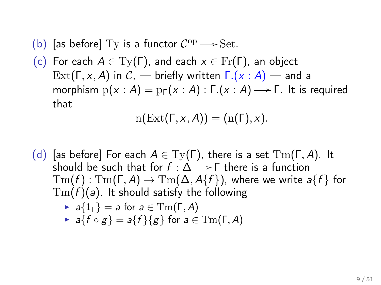- (b) [as before] Ty is a functor  $C^{\rm op} \longrightarrow$  Set.
- (c) For each  $A \in Ty(\Gamma)$ , and each  $x \in Fr(\Gamma)$ , an object Ext(Γ, x, A) in  $\mathcal{C}$ , — briefly written  $\Gamma(x : A)$  — and a morphism  $p(x : A) = p_{\Gamma}(x : A) : \Gamma(x : A) \longrightarrow \Gamma$ . It is required that

$$
n(\text{Ext}(\Gamma, x, A)) = (n(\Gamma), x).
$$

(d) [as before] For each  $A \in \mathrm{Ty}(\Gamma)$ , there is a set  $\mathrm{Tm}(\Gamma, A)$ . It should be such that for  $f : \Delta \longrightarrow \Gamma$  there is a function  $\text{Tm}(f)$ :  $\text{Tm}(\Gamma, A) \rightarrow \text{Tm}(\Delta, A\{f\})$ , where we write  $a\{f\}$  for  $Tm(f)(a)$ . It should satisfy the following

$$
\blacktriangleright \ \ a\{1_\Gamma\} = a \text{ for } a \in \mathrm{Tm}(\Gamma, A)
$$

 $\blacktriangleright$  a{f  $\circ$  g} = a{f}{g} for a  $\in$  Tm( $\Gamma$ , A)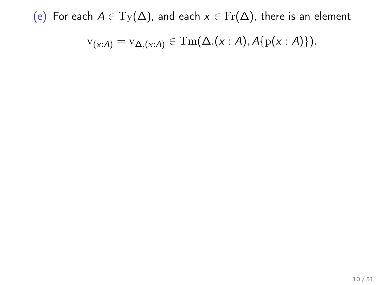(e) For each  $A \in Ty(\Delta)$ , and each  $x \in Fr(\Delta)$ , there is an element

$$
v_{(x:A)} = v_{\Delta,(x:A)} \in \mathrm{Tm}(\Delta.(x:A), A\{p(x:A)\}).
$$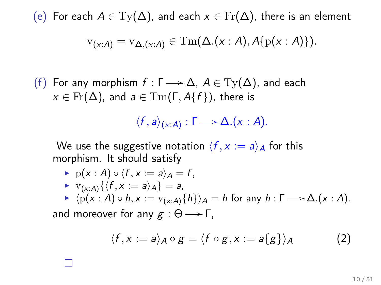(e) For each  $A \in Ty(\Delta)$ , and each  $x \in Fr(\Delta)$ , there is an element

$$
v_{(x:A)} = v_{\Delta,(x:A)} \in \mathrm{Tm}(\Delta.(x:A), A\{p(x:A)\}).
$$

(f) For any morphism  $f : \Gamma \longrightarrow \Delta$ ,  $A \in Ty(\Delta)$ , and each  $x \in Fr(\Delta)$ , and  $a \in \mathrm{Tm}(\Gamma, A\{f\})$ , there is

$$
\langle f, a \rangle_{(x:A)} : \Gamma \longrightarrow \Delta.(x : A).
$$

We use the suggestive notation  $\langle f, x := a \rangle_A$  for this morphism. It should satisfy

$$
\blacktriangleright \ \mathrm{p}(x:A)\circ \langle f,x:=a\rangle_A=f,
$$

$$
\blacktriangleright \ \ \mathrm{v}_{(x:A)}\{\langle f,x:=a\rangle_A\}=a,
$$

$$
\blacktriangleright \langle p(x:A) \circ h, x := v_{(x:A)}\{h\}\rangle_A = h \text{ for any } h: \Gamma \longrightarrow \Delta.(x:A).
$$

and moreover for any  $g : \Theta \longrightarrow \Gamma$ .

$$
\langle f, x := a \rangle_A \circ g = \langle f \circ g, x := a \{ g \} \rangle_A \tag{2}
$$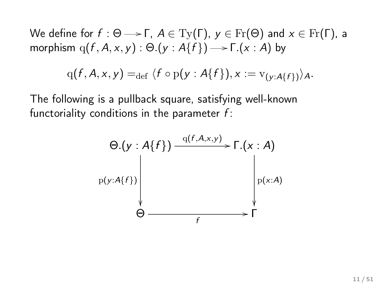We define for  $f : \Theta \longrightarrow \Gamma$ ,  $A \in \mathrm{Ty}(\Gamma)$ ,  $y \in \mathrm{Fr}(\Theta)$  and  $x \in \mathrm{Fr}(\Gamma)$ , a morphism  $\mathrm{q}(f,A,x,y):\Theta.(y:A\{f\}){\longrightarrow} \Gamma.(x:A)$  by

$$
q(f, A, x, y) =_{def} \langle f \circ p(y : A\{f\}), x := v_{(y : A\{f\})}\rangle_A.
$$

The following is a pullback square, satisfying well-known functoriality conditions in the parameter  $f$ :

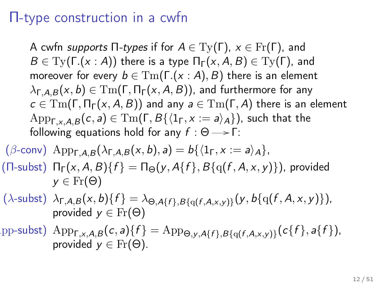#### Π-type construction in a cwfn

A cwfn supports  $\Pi$ -types if for  $A \in \mathrm{Ty}(\Gamma)$ ,  $x \in \mathrm{Fr}(\Gamma)$ , and  $B \in \mathrm{Ty}(\Gamma.(x : A))$  there is a type  $\Pi_{\Gamma}(x, A, B) \in \mathrm{Ty}(\Gamma)$ , and moreover for every  $b \in \mathrm{Tm}(\Gamma(x : A), B)$  there is an element  $\lambda_{\Gamma, A, B}(x, b) \in \mathrm{Tm}(\Gamma, \Pi_{\Gamma}(x, A, B))$ , and furthermore for any  $c \in \text{Tm}(\Gamma, \Pi_{\Gamma}(x, A, B))$  and any  $a \in \text{Tm}(\Gamma, A)$  there is an element  $\text{App}_{\Gamma_X,AB}(c, a) \in \text{Tm}(\Gamma, B\{\langle 1_\Gamma, x := a \rangle_A\})$ , such that the following equations hold for any  $f : \Theta \longrightarrow \Gamma$ :

$$
\begin{aligned} & (\beta\text{-conv}) \text{ App}_{\Gamma,A,B}(\lambda_{\Gamma,A,B}(x,b),a) = b\{\langle 1_{\Gamma}, x := a \rangle_A\}, \\ & (\Pi\text{-subst}) \text{ \Pi}_{\Gamma}(x,A,B)\{f\} = \Pi_{\Theta}(y,A\{f\},B\{q(f,A,x,y)\}), \text{ provided} \\ & y \in \text{Fr}(\Theta) \end{aligned}
$$

- $(\lambda\text{-subst}) \ \lambda_{\Gamma,A,B}(x,b) \{f\} = \lambda_{\Theta,A\{f\},B\{q(f,A,x,y)\}}(y,b\{q(f,A,x,y)\}),$ provided  $y \in Fr(\Theta)$
- pp-subst)  $\mathrm{App}_{\mathsf{F},x,\mathsf{A},\mathsf{B}}(c,a)\lbrace f \rbrace = \mathrm{App}_{\Theta,y,\mathsf{A}\lbrace f\rbrace,\mathsf{B}\lbrace q(f,\mathsf{A},x,y)\rbrace}(c\lbrace f\rbrace,a\lbrace f\rbrace),$ provided  $y \in Fr(\Theta)$ .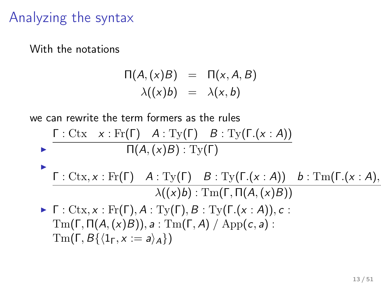### Analyzing the syntax

With the notations

$$
\Pi(A,(x)B) = \Pi(x, A, B) \lambda((x)b) = \lambda(x, b)
$$

we can rewrite the term formers as the rules

$$
\blacktriangleright \frac{\Gamma : \text{Ctx} \quad x : \text{Fr}(\Gamma) \quad A : \text{Ty}(\Gamma) \quad B : \text{Ty}(\Gamma.(x : A))}{\Pi(A,(x)B) : \text{Ty}(\Gamma)}
$$

$$
\begin{array}{|c|c|c|c|c|} \hline \text{F}:\text{Ctx},x:\text{Fr}(\Gamma) & A:\text{Ty}(\Gamma) & B:\text{Ty}(\Gamma.(x:A)) & b:\text{Tm}(\Gamma.(x:A),\\ \hline \lambda((x)b):\text{Tm}(\Gamma,\Pi(A,(x)B)) & \hline \end{array}
$$

 $\blacktriangleright$  Γ : Ctx, x : Fr(Γ), A : Ty(Γ), B : Ty(Γ.(x : A)), c :  $\mathrm{Tm}(\Gamma, \Pi(A,(x)B)), a : \mathrm{Tm}(\Gamma, A) / \mathrm{App}(c, a)$ :  $\text{Im}(\Gamma, B\{\langle 1_\Gamma, x := a\rangle_A\})$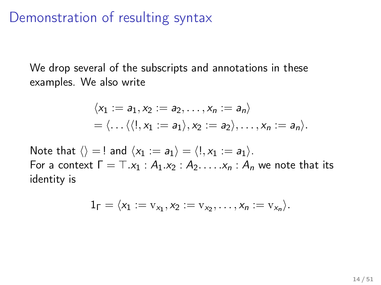#### Demonstration of resulting syntax

We drop several of the subscripts and annotations in these examples. We also write

$$
\langle x_1 := a_1, x_2 := a_2, \ldots, x_n := a_n \rangle
$$
  
=  $\langle \ldots \langle \langle 1, x_1 := a_1 \rangle, x_2 := a_2 \rangle, \ldots, x_n := a_n \rangle.$ 

Note that  $\langle \rangle = !$  and  $\langle x_1 := a_1 \rangle = \langle !, x_1 := a_1 \rangle$ . For a context  $\Gamma = \top . x_1 : A_1 . x_2 : A_2 . \ldots . x_n : A_n$  we note that its identity is

$$
1_\Gamma=\langle x_1:=v_{x_1}, x_2:=v_{x_2},\ldots, x_n:=v_{x_n}\rangle.
$$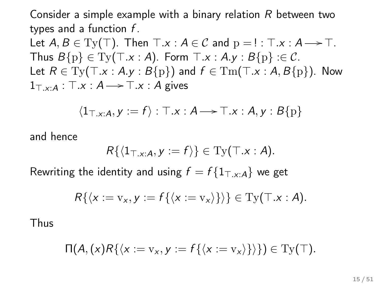Consider a simple example with a binary relation  $R$  between two types and a function  $f$ .

Let  $A, B \in \mathrm{Ty}(\top)$ . Then  $\top .x : A \in \mathcal{C}$  and  $p = ! : \top .x : A \longrightarrow \top$ . Thus  $B\{p\} \in \mathrm{Ty}(\top.x : A)$ . Form  $\top.x : A.y : B\{p\} : \in \mathcal{C}$ . Let  $R \in \mathrm{Ty}(\top.x : A.y : B\{p\})$  and  $f \in \mathrm{Tm}(\top.x : A, B\{p\})$ . Now  $1_{\top, x:A}$ :  $\top.x : A \longrightarrow \top.x : A$  gives

$$
\langle 1_{\top, x:A}, y := f \rangle : \top.x : A \longrightarrow \top.x : A, y : B\{p\}
$$

and hence

$$
R\{\langle 1_{\top, x:A}, y:=f\rangle\}\in \mathrm{Ty}(\top.x:A).
$$

Rewriting the identity and using  $f = f\{1_{\text{T x} : A}\}\$  we get

$$
R\{\langle x:=v_x,y:=f\{\langle x:=v_x\rangle\}\rangle\}\in\mathrm{Ty}(\top.x:A).
$$

Thus

$$
\Pi(A,(x)R\{\langle x:=v_x,y:=f\{\langle x:=v_x\rangle\}\rangle\})\in \mathrm{Ty}(\top).
$$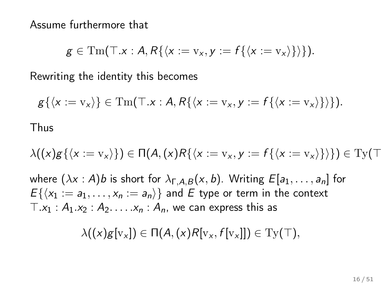Assume furthermore that

$$
g\in \mathrm{Tm}(\top.x:A,R\{\langle x:=v_x,y:=f\{\langle x:=v_x\rangle\}\rangle\}).
$$

Rewriting the identity this becomes

$$
g\{\langle x:=v_x\rangle\}\in\mathrm{Tm}(\top.x:A,R\{\langle x:=v_x,y:=f\{\langle x:=v_x\rangle\}\rangle\}).
$$
 Thus

$$
\lambda((x)g\{\langle x:=v_x\rangle\})\in \Pi(A,(x)R\{\langle x:=v_x,y:=f\{\langle x:=v_x\rangle\}\rangle\})\in \mathrm{Ty}(\top
$$

where  $(\lambda x : A)$ b is short for  $\lambda_{\Gamma, A, B}(x, b)$ . Writing  $E[a_1, \ldots, a_n]$  for  $E\{\langle x_1 := a_1, \ldots, x_n := a_n \rangle\}$  and E type or term in the context  $T.x_1 : A_1.x_2 : A_2. \ldots . x_n : A_n$ , we can express this as

$$
\lambda((x)g[v_x]) \in \Pi(A,(x)R[v_x,f[v_x]]) \in \mathrm{Ty}(\top),
$$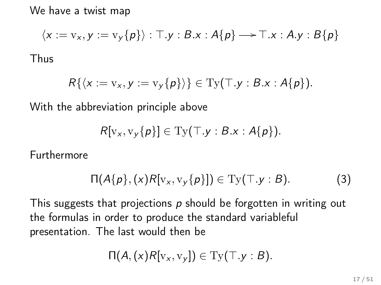We have a twist map

$$
\langle x := v_x, y := v_y\{p\} \rangle : \top.y : B.x : A\{p\} \longrightarrow \top.x : A.y : B\{p\}
$$
  
thus

$$
R\{\langle x:=v_x,y:=v_y\{p\}\rangle\}\in\mathrm{Ty}(\top.y:B.x:A\{p\}).
$$

With the abbreviation principle above

$$
R[v_x, v_y\{p\}] \in \mathrm{Ty}(\top.y:B.x:A\{p\}).
$$

Furthermore

 $T$ 

$$
\Pi(A\{p\},(x)R[v_x,v_y\{p\}]) \in \mathrm{Ty}(\top.y:B). \tag{3}
$$

This suggests that projections  $p$  should be forgotten in writing out the formulas in order to produce the standard variableful presentation. The last would then be

$$
\Pi(A,(x)R[v_x,v_y]) \in \mathrm{Ty}(\top.y:B).
$$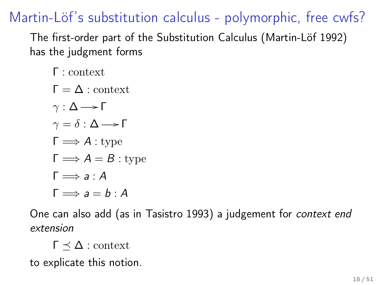Martin-Löf's substitution calculus - polymorphic, free cwfs?

The first-order part of the Substitution Calculus (Martin-Löf 1992) has the judgment forms

Γ : context

 $Γ = Λ · \text{context}$  $γ : Δ \rightarrow Γ$  $\gamma = \delta : \Delta \longrightarrow \Gamma$  $\Gamma \Longrightarrow A :$  type  $\Gamma \Longrightarrow A = B$ : type  $\Gamma \Longrightarrow a:A$  $\Gamma \Longrightarrow a = b \cdot A$ 

One can also add (as in Tasistro 1993) a judgement for context end extension

 $Γ$   $\prec$   $Δ$  : context

to explicate this notion.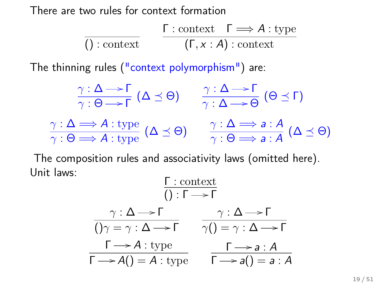There are two rules for context formation

$$
\frac{\Gamma : \text{context}}{() : \text{context}} \qquad \frac{\Gamma : \text{context}}{(\Gamma, x : A) : \text{context}}
$$

The thinning rules ("context polymorphism") are:

$$
\frac{\gamma : \Delta \longrightarrow \Gamma}{\gamma : \Theta \longrightarrow \Gamma} (\Delta \preceq \Theta) \qquad \frac{\gamma : \Delta \longrightarrow \Gamma}{\gamma : \Delta \longrightarrow \Theta} (\Theta \preceq \Gamma)
$$
\n
$$
\frac{\gamma : \Delta \Longrightarrow A : \text{type}}{\gamma : \Theta \Longrightarrow A : \text{type}} (\Delta \preceq \Theta) \qquad \frac{\gamma : \Delta \Longrightarrow a : A}{\gamma : \Theta \Longrightarrow a : A} (\Delta \preceq \Theta)
$$

The composition rules and associativity laws (omitted here). Unit laws:

$$
\frac{\Gamma : \text{context}}{() : \Gamma \longrightarrow \Gamma}
$$
\n
$$
\frac{\gamma : \Delta \longrightarrow \Gamma \qquad \gamma : \Delta \longrightarrow \Gamma}{() \gamma = \gamma : \Delta \longrightarrow \Gamma} \qquad \frac{\gamma : \Delta \longrightarrow \Gamma}{\gamma() = \gamma : \Delta \longrightarrow \Gamma}
$$
\n
$$
\frac{\Gamma \longrightarrow A : \text{type}}{\Gamma \longrightarrow A() = A : \text{type}} \qquad \frac{\Gamma \longrightarrow a : A}{\Gamma \longrightarrow a() = a : A}
$$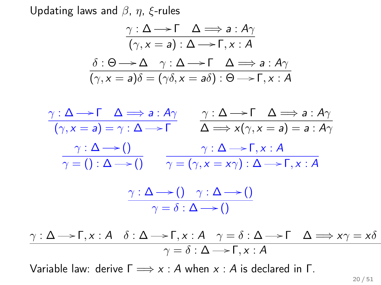Updating laws and  $\beta$ ,  $\eta$ ,  $\xi$ -rules

$$
\frac{\gamma : \Delta \longrightarrow \Gamma \quad \Delta \Longrightarrow a : A\gamma}{(\gamma, x = a) : \Delta \longrightarrow \Gamma, x : A}
$$

$$
\frac{\delta : \Theta \longrightarrow \Delta \quad \gamma : \Delta \longrightarrow \Gamma \quad \Delta \Longrightarrow a : A\gamma}{(\gamma, x = a)\delta = (\gamma \delta, x = a\delta) : \Theta \longrightarrow \Gamma, x : A}
$$



$$
\frac{\gamma : \Delta \longrightarrow \Gamma, x : A \quad \delta : \Delta \longrightarrow \Gamma, x : A \quad \gamma = \delta : \Delta \longrightarrow \Gamma \quad \Delta \Longrightarrow x\gamma = x\delta}{\gamma = \delta : \Delta \longrightarrow \Gamma, x : A}
$$

Variable law: derive  $\Gamma \Longrightarrow x : A$  when  $x : A$  is declared in  $\Gamma$ .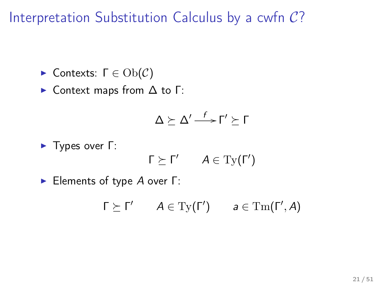Interpretation Substitution Calculus by a cwfn C?

 $\blacktriangleright$  Contexts:  $\Gamma \in Ob(\mathcal{C})$ 

 $\triangleright$  Context maps from  $\Delta$  to  $\Gamma$ :

$$
\Delta \succeq \Delta' \mathop{\longrightarrow}\limits^{f} \Gamma' \succeq \Gamma
$$

**►** Types over Γ:

$$
\Gamma \succeq \Gamma' \qquad A \in \mathrm{Ty}(\Gamma')
$$

**Elements of type A over Γ:** 

$$
\Gamma \succeq \Gamma' \qquad A \in \mathrm{Ty}(\Gamma') \qquad a \in \mathrm{Tm}(\Gamma', A)
$$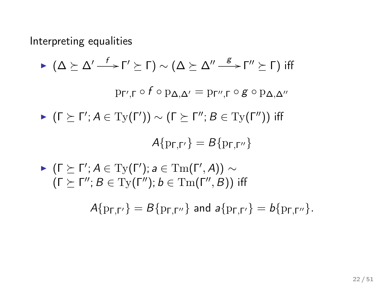Interpreting equalities

\n- ▶ 
$$
(\Delta \succeq \Delta' \xrightarrow{f} \Gamma' \succeq \Gamma) \sim (\Delta \succeq \Delta'' \xrightarrow{g} \Gamma'' \succeq \Gamma)
$$
 iff  $p_{\Gamma',\Gamma} \circ f \circ p_{\Delta,\Delta'} = p_{\Gamma'',\Gamma} \circ g \circ p_{\Delta,\Delta''}$
\n- ▶  $(\Gamma \succeq \Gamma'; A \in \mathrm{Ty}(\Gamma')) \sim (\Gamma \succeq \Gamma''; B \in \mathrm{Ty}(\Gamma''))$  iff  $A\{p_{\Gamma,\Gamma'}\} = B\{p_{\Gamma,\Gamma''}\}$
\n- ▶  $(\Gamma \succeq \Gamma'; A \in \mathrm{Ty}(\Gamma'); a \in \mathrm{Tm}(\Gamma', A)) \sim (\Gamma \succeq \Gamma''; B \in \mathrm{Ty}(\Gamma''); b \in \mathrm{TM}(\Gamma'', B))$  iff
\n

 $A{p_{\Gamma,\Gamma'} } = B{p_{\Gamma,\Gamma'' } }$  and  $a{p_{\Gamma,\Gamma'} } = b{p_{\Gamma,\Gamma'' } }$ .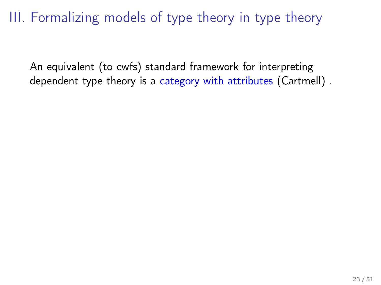III. Formalizing models of type theory in type theory

An equivalent (to cwfs) standard framework for interpreting dependent type theory is a category with attributes (Cartmell) .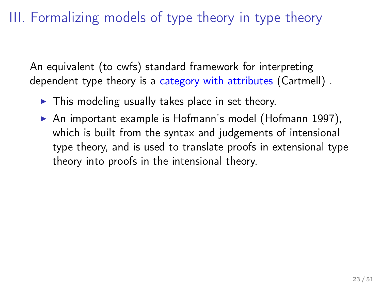#### III. Formalizing models of type theory in type theory

An equivalent (to cwfs) standard framework for interpreting dependent type theory is a category with attributes (Cartmell) .

- $\triangleright$  This modeling usually takes place in set theory.
- $\triangleright$  An important example is Hofmann's model (Hofmann 1997), which is built from the syntax and judgements of intensional type theory, and is used to translate proofs in extensional type theory into proofs in the intensional theory.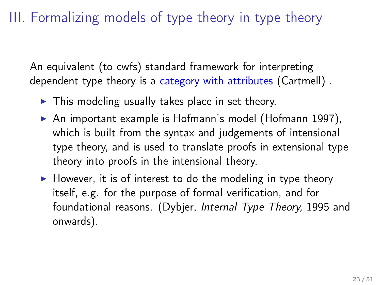#### III. Formalizing models of type theory in type theory

An equivalent (to cwfs) standard framework for interpreting dependent type theory is a category with attributes (Cartmell) .

- $\triangleright$  This modeling usually takes place in set theory.
- $\triangleright$  An important example is Hofmann's model (Hofmann 1997), which is built from the syntax and judgements of intensional type theory, and is used to translate proofs in extensional type theory into proofs in the intensional theory.
- $\blacktriangleright$  However, it is of interest to do the modeling in type theory itself, e.g. for the purpose of formal verification, and for foundational reasons. (Dybjer, Internal Type Theory, 1995 and onwards).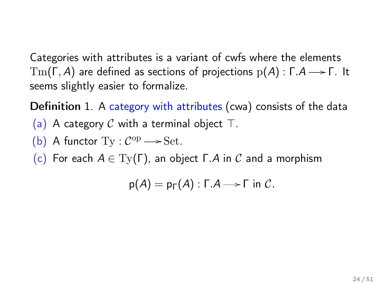Categories with attributes is a variant of cwfs where the elements  $Tm(\Gamma, A)$  are defined as sections of projections  $p(A)$ : Γ.Α  $\rightarrow$  Γ. It seems slightly easier to formalize.

Definition 1. A category with attributes (cwa) consists of the data

- (a) A category C with a terminal object  $\top$ .
- (b) A functor  $Ty : C^{op} \longrightarrow Set$ .
- (c) For each  $A \in Ty(\Gamma)$ , an object  $\Gamma.A$  in C and a morphism

$$
p(A) = p_{\Gamma}(A) : \Gamma.A \longrightarrow \Gamma \text{ in } C.
$$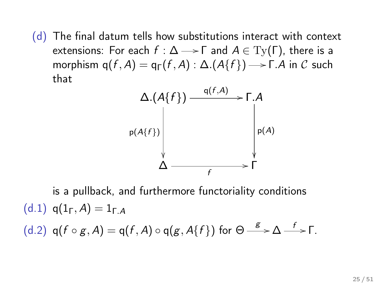(d) The final datum tells how substitutions interact with context extensions: For each  $f : \Delta \longrightarrow \Gamma$  and  $A \in Ty(\Gamma)$ , there is a morphism  $q(f,A) = q_{\Gamma}(f,A) : \Delta.(A\{f\}) \rightarrow \Gamma.A$  in  $\mathcal C$  such that



is a pullback, and furthermore functoriality conditions (d.1)  $q(1_f, A) = 1_{f, A}$ (d.2)  $q(f \circ g, A) = q(f, A) \circ q(g, A\{f\})$  for  $\Theta \stackrel{g}{\longrightarrow} \Delta \stackrel{f}{\longrightarrow} \Gamma$ .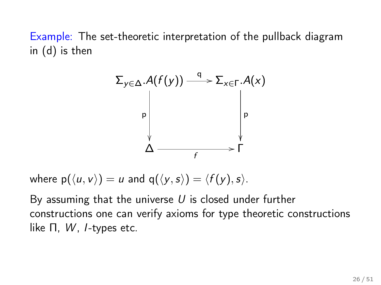Example: The set-theoretic interpretation of the pullback diagram in (d) is then



where  $p(\langle u, v \rangle) = u$  and  $q(\langle y, s \rangle) = \langle f(y), s \rangle$ .

By assuming that the universe  $U$  is closed under further constructions one can verify axioms for type theoretic constructions like  $\Pi$ ,  $W$ , *I*-types etc.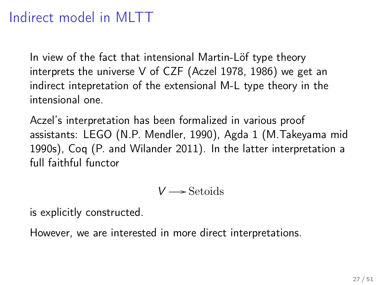# Indirect model in MLTT

In view of the fact that intensional Martin-Löf type theory interprets the universe V of CZF (Aczel 1978, 1986) we get an indirect intepretation of the extensional M-L type theory in the intensional one.

Aczel's interpretation has been formalized in various proof assistants: LEGO (N.P. Mendler, 1990), Agda 1 (M.Takeyama mid 1990s), Coq (P. and Wilander 2011). In the latter interpretation a full faithful functor

$$
V\longrightarrow\operatorname{Setoids}
$$

is explicitly constructed.

However, we are interested in more direct interpretations.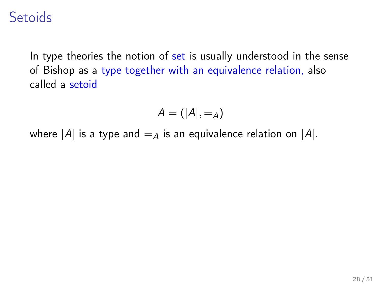### **Setoids**

In type theories the notion of set is usually understood in the sense of Bishop as a type together with an equivalence relation, also called a setoid

$$
A=\left(|A|,-_A\right)
$$

where |A| is a type and  $=$  a is an equivalence relation on |A|.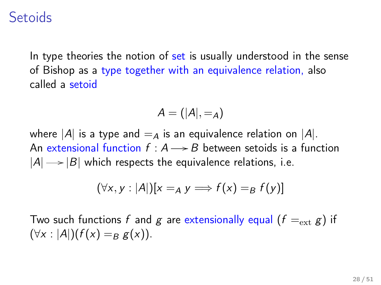### **Setoids**

In type theories the notion of set is usually understood in the sense of Bishop as a type together with an equivalence relation, also called a setoid

$$
A=\left(|A|,-_A\right)
$$

where |A| is a type and  $=$  a is an equivalence relation on |A|. An extensional function  $f : A \rightarrow B$  between setoids is a function  $|A| \rightarrow |B|$  which respects the equivalence relations, i.e.

$$
(\forall x, y : |A|)[x =_A y \Longrightarrow f(x) =_B f(y)]
$$

Two such functions f and g are extensionally equal  $(f =_{ext} g)$  if  $(\forall x : |A|)(f(x) = g(x)).$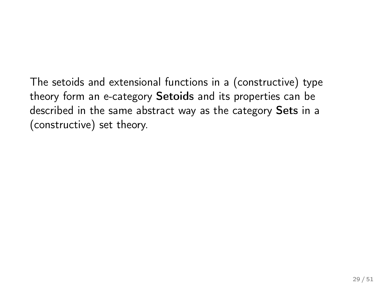The setoids and extensional functions in a (constructive) type theory form an e-category Setoids and its properties can be described in the same abstract way as the category Sets in a (constructive) set theory.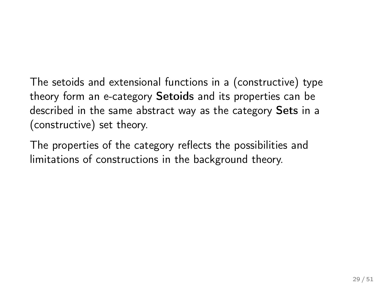The setoids and extensional functions in a (constructive) type theory form an e-category Setoids and its properties can be described in the same abstract way as the category Sets in a (constructive) set theory.

The properties of the category reflects the possibilities and limitations of constructions in the background theory.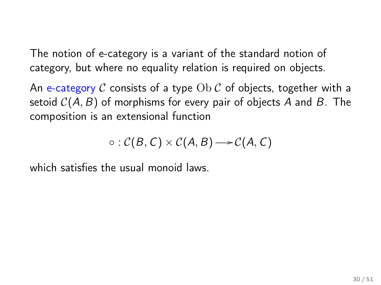The notion of e-category is a variant of the standard notion of category, but where no equality relation is required on objects.

An e-category C consists of a type  $Ob C$  of objects, together with a setoid  $C(A, B)$  of morphisms for every pair of objects A and B. The composition is an extensional function

$$
\circ : \mathcal{C}(B, C) \times \mathcal{C}(A, B) \longrightarrow \mathcal{C}(A, C)
$$

which satisfies the usual monoid laws.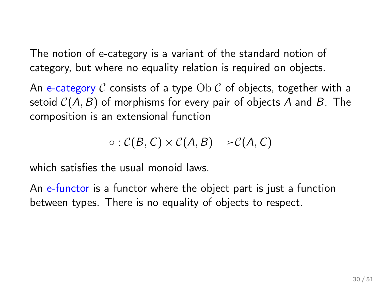The notion of e-category is a variant of the standard notion of category, but where no equality relation is required on objects.

An e-category C consists of a type  $Ob C$  of objects, together with a setoid  $C(A, B)$  of morphisms for every pair of objects A and B. The composition is an extensional function

$$
\circ : \mathcal{C}(B,C) \times \mathcal{C}(A,B) \longrightarrow \mathcal{C}(A,C)
$$

which satisfies the usual monoid laws.

An e-functor is a functor where the object part is just a function between types. There is no equality of objects to respect.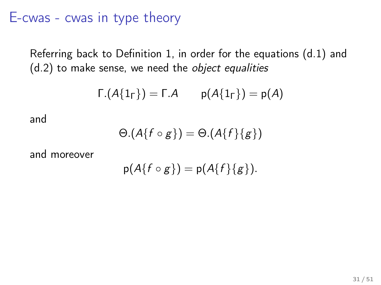#### E-cwas - cwas in type theory

Referring back to Definition 1, in order for the equations (d.1) and (d.2) to make sense, we need the object equalities

$$
\Gamma.(A\{1_{\Gamma}\}) = \Gamma.A \qquad p(A\{1_{\Gamma}\}) = p(A)
$$

and

$$
\Theta.(A\{f \circ g\}) = \Theta.(A\{f\}\{g\})
$$

and moreover

$$
p(A\{f\circ g\})=p(A\{f\}\{g\}).
$$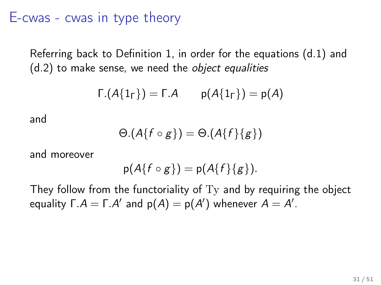#### E-cwas - cwas in type theory

Referring back to Definition 1, in order for the equations (d.1) and (d.2) to make sense, we need the object equalities

$$
\Gamma.(A\{1_{\Gamma}\}) = \Gamma.A \qquad p(A\{1_{\Gamma}\}) = p(A)
$$

and

$$
\Theta.(A\{f \circ g\}) = \Theta.(A\{f\}\{g\})
$$

and moreover

$$
p(A\{f\circ g\})=p(A\{f\}\{g\}).
$$

They follow from the functoriality of Ty and by requiring the object equality  $\Gamma.A = \Gamma.A'$  and  $p(A) = p(A')$  whenever  $A = A'.$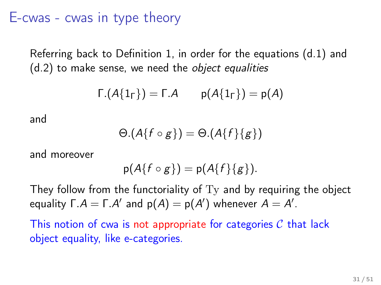#### E-cwas - cwas in type theory

Referring back to Definition 1, in order for the equations (d.1) and (d.2) to make sense, we need the object equalities

$$
\Gamma.(A\{1_{\Gamma}\}) = \Gamma.A \qquad p(A\{1_{\Gamma}\}) = p(A)
$$

and

$$
\Theta.(A\{f \circ g\}) = \Theta.(A\{f\}\{g\})
$$

and moreover

$$
p(A\{f\circ g\})=p(A\{f\}\{g\}).
$$

They follow from the functoriality of  $Ty$  and by requiring the object equality  $\Gamma.A = \Gamma.A'$  and  $p(A) = p(A')$  whenever  $A = A'.$ 

This notion of cwa is not appropriate for categories  $\mathcal C$  that lack object equality, like e-categories.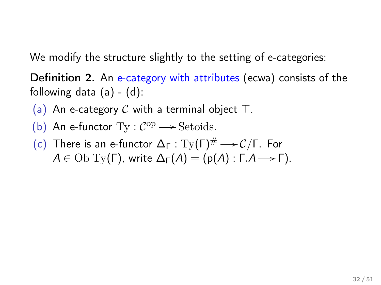We modify the structure slightly to the setting of e-categories:

Definition 2. An e-category with attributes (ecwa) consists of the following data  $(a) - (d)$ :

(a) An e-category C with a terminal object  $\top$ .

- (b) An e-functor  $Ty : C^{op} \longrightarrow$  Setoids.
- (c) There is an e-functor  $\Delta_{\Gamma} : \mathrm{Ty}(\Gamma)^{\#} \longrightarrow \mathcal{C}/\Gamma$ . For  $A \in \text{Ob } \mathrm{Ty}(\Gamma)$ , write  $\Delta_{\Gamma}(A) = (p(A) : \Gamma.A \rightarrow \Gamma)$ .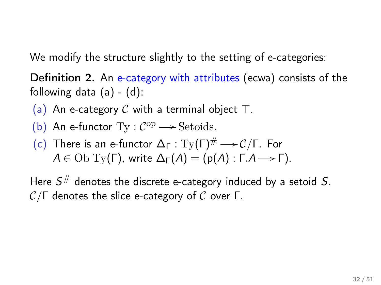We modify the structure slightly to the setting of e-categories:

Definition 2. An e-category with attributes (ecwa) consists of the following data  $(a) - (d)$ :

(a) An e-category C with a terminal object  $\top$ .

- (b) An e-functor  $Ty : C^{op} \longrightarrow$  Setoids.
- (c) There is an e-functor  $\Delta_{\Gamma} : \mathrm{Ty}(\Gamma)^{\#} \longrightarrow \mathcal{C}/\Gamma$ . For  $A \in \text{Ob } \mathrm{Ty}(\Gamma)$ , write  $\Delta_{\Gamma}(A) = (p(A) : \Gamma.A \rightarrow \Gamma)$ .

Here  $S^{\#}$  denotes the discrete e-category induced by a setoid S.  $\mathcal{C}/\Gamma$  denotes the slice e-category of C over Γ.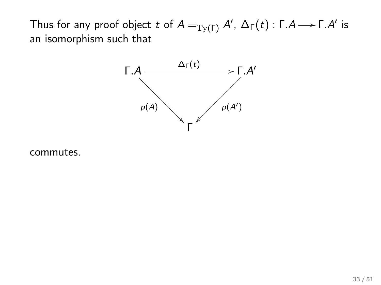Thus for any proof object  $t$  of  $A=_{\operatorname{Ty}(\Gamma)} A'$ ,  $\Delta_{\Gamma}(t)$  : Γ. $A{\longrightarrow}$  Γ. $A'$  is an isomorphism such that



commutes.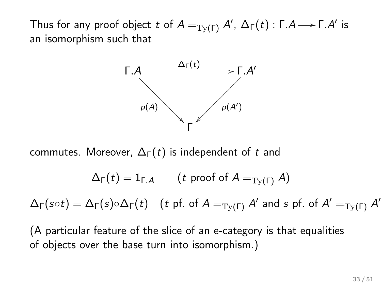Thus for any proof object  $t$  of  $A=_{\operatorname{Ty}(\Gamma)} A'$ ,  $\Delta_{\Gamma}(t)$  : Γ. $A{\longrightarrow}$  Γ. $A'$  is an isomorphism such that



commutes. Moreover,  $\Delta_{\Gamma}(t)$  is independent of t and

$$
\Delta_{\Gamma}(t) = 1_{\Gamma.A} \qquad (t \text{ proof of } A =_{\mathrm{Ty}(\Gamma)} A)
$$

 $\Delta_{\Gamma}(s\circ t)=\Delta_{\Gamma}(s)\circ \Delta_{\Gamma}(t) \ \ \ \ (t \text{ pf. of } A=_{\text{Ty}(\Gamma)} A' \text{ and } s \text{ pf. of } A'=_{\text{Ty}(\Gamma)} A'$ 

(A particular feature of the slice of an e-category is that equalities of objects over the base turn into isomorphism.)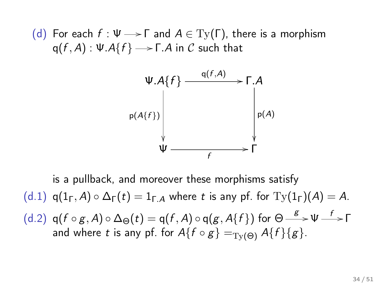(d) For each  $f : \Psi \longrightarrow \Gamma$  and  $A \in Ty(\Gamma)$ , there is a morphism  ${\sf q}(f,A)$  : Ψ. ${\cal A}\{f\}$   $\longrightarrow$  Γ. $A$  in  ${\cal C}$  such that



is a pullback, and moreover these morphisms satisfy (d.1)  $q(1_f, A) \circ \Delta_f(t) = 1_{f,A}$  where t is any pf. for  $Ty(1_f)(A) = A$ . (d.2)  $q(f \circ g, A) \circ \Delta_{\Theta}(t) = q(f, A) \circ q(g, A\{f\})$  for  $\Theta \stackrel{g}{\longrightarrow} \Psi \stackrel{f}{\longrightarrow} \Gamma$ and where t is any pf. for  $A\{f \circ g\} =_{\text{TV}(\Theta)} A\{f\}\{g\}.$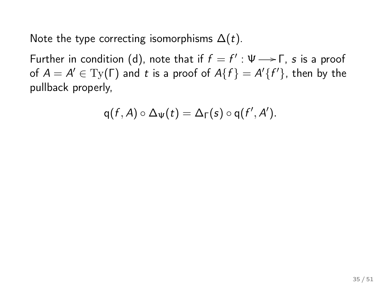Note the type correcting isomorphisms  $\Delta(t)$ .

Further in condition (d), note that if  $f = f' : \Psi \longrightarrow \Gamma$ , s is a proof of  $A = A' \in \mathrm{Ty}(\Gamma)$  and t is a proof of  $A\{f\} = A'\{f'\}$ , then by the pullback properly,

$$
q(f,A)\circ \Delta_{\Psi}(t)=\Delta_{\Gamma}(s)\circ q(f',A').
$$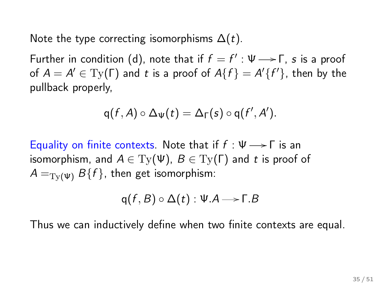Note the type correcting isomorphisms  $\Delta(t)$ .

Further in condition (d), note that if  $f = f' : \Psi \longrightarrow \Gamma$ , s is a proof of  $A = A' \in \mathrm{Ty}(\Gamma)$  and t is a proof of  $A\{f\} = A'\{f'\}$ , then by the pullback properly,

$$
q(f,A)\circ \Delta_{\Psi}(t)=\Delta_{\Gamma}(s)\circ q(f',A').
$$

Equality on finite contexts. Note that if  $f : \Psi \longrightarrow \Gamma$  is an isomorphism, and  $A \in Ty(\Psi)$ ,  $B \in Ty(\Gamma)$  and t is proof of  $A =_{\text{Tv}(\Psi)} B\{f\}$ , then get isomorphism:

$$
q(f, B) \circ \Delta(t) : \Psi.A \longrightarrow \Gamma.B
$$

Thus we can inductively define when two finite contexts are equal.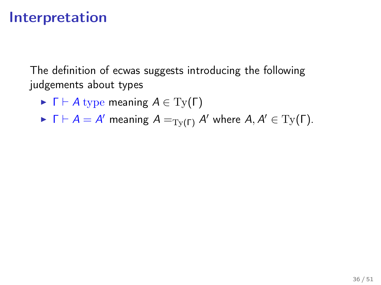## Interpretation

The definition of ecwas suggests introducing the following judgements about types

- $\blacktriangleright \Gamma \vdash A$  type meaning  $A \in \mathrm{Ty}(\Gamma)$
- $\blacktriangleright$   $\Gamma \vdash A = A'$  meaning  $A =_{\mathrm{Ty}(\Gamma)} A'$  where  $A, A' \in \mathrm{Ty}(\Gamma)$ .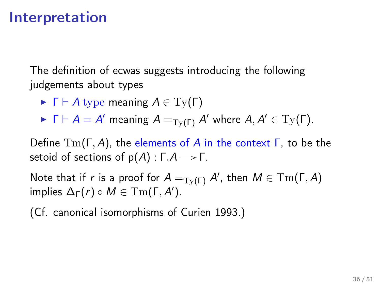### Interpretation

The definition of ecwas suggests introducing the following judgements about types

- $\triangleright$   $\Gamma \vdash A$  type meaning  $A \in Ty(\Gamma)$
- $\blacktriangleright$   $\Gamma \vdash A = A'$  meaning  $A =_{\mathrm{Ty}(\Gamma)} A'$  where  $A, A' \in \mathrm{Ty}(\Gamma)$ .

Define  $\text{Tm}(\Gamma, A)$ , the elements of A in the context  $\Gamma$ , to be the setoid of sections of  $p(A)$  :  $\Gamma.A \rightarrow \Gamma$ .

Note that if  $r$  is a proof for  $A=_{\text{Ty}(\Gamma)} A'$ , then  $M\in \text{Tm}(\Gamma,A)$ implies  $\Delta_{\Gamma}(r) \circ M \in \mathrm{Tm}(\Gamma, A').$ 

(Cf. canonical isomorphisms of Curien 1993.)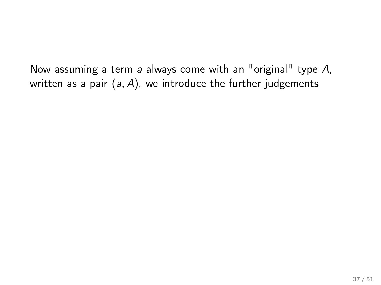Now assuming a term a always come with an "original" type  $A$ , written as a pair  $(a, A)$ , we introduce the further judgements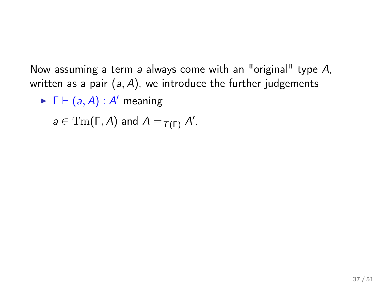Now assuming a term a always come with an "original" type A, written as a pair  $(a, A)$ , we introduce the further judgements

 $\blacktriangleright \; \Gamma \vdash (a, A) : A'$  meaning

 $a \in \mathrm{Tm}(\Gamma, A)$  and  $A =_{\mathcal{T}(\Gamma)} A'$ .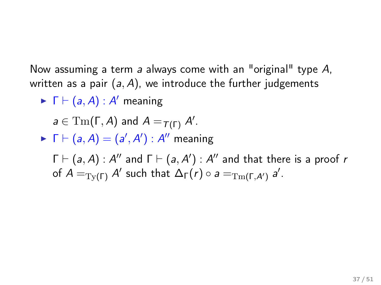Now assuming a term a always come with an "original" type A, written as a pair  $(a, A)$ , we introduce the further judgements

 $\blacktriangleright \; \Gamma \vdash (a, A) : A'$  meaning

$$
a\in \mathrm{Tm}(\Gamma,A) \text{ and } A=_{\mathcal{T}(\Gamma)} A'.
$$

$$
\blacktriangleright \; \Gamma \vdash (a, A) = (a', A') : A'' \text{ meaning}
$$

 $\Gamma \vdash (a, A) : A''$  and  $\Gamma \vdash (a, A') : A''$  and that there is a proof r of  $A =_{\text{Ty}(\Gamma)} A'$  such that  $\Delta_{\Gamma}(r) \circ a =_{\text{Tm}(\Gamma, A')} a'.$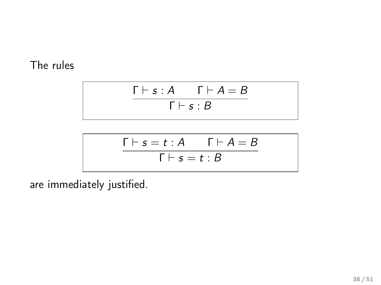#### The rules

$$
\frac{\Gamma \vdash s:A \qquad \Gamma \vdash A=B}{\Gamma \vdash s:B}
$$

$$
\frac{\Gamma \vdash s = t : A \qquad \Gamma \vdash A = B}{\Gamma \vdash s = t : B}
$$

are immediately justified.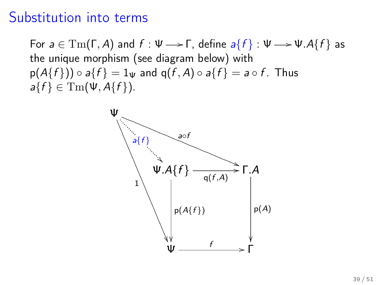## Substitution into terms

For  $a \in \text{Tm}(\Gamma, A)$  and  $f : \Psi \longrightarrow \Gamma$ , define  $a\{f\} : \Psi \longrightarrow \Psi.A\{f\}$  as the unique morphism (see diagram below) with  $p(A\{f\})\circ a\{f\} = 1_{\Psi}$  and  $q(f, A)\circ a\{f\} = a\circ f$ . Thus  $a\{f\} \in \mathrm{Tm}(\Psi,\mathcal{A}\{f\}).$ 

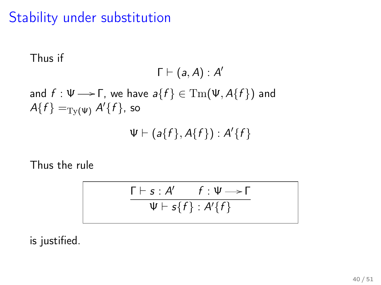## Stability under substitution

Thus if  
\n
$$
\Gamma \vdash (a, A) : A'
$$
\nand  $f : \Psi \rightarrow \Gamma$ , we have  $a\{f\} \in \text{Tm}(\Psi, A\{f\})$  and  
\n $A\{f\} =_{\text{Ty}(\Psi)} A'\{f\}$ , so  
\n $\Psi \vdash (a\{f\}, A\{f\}) : A'\{f\}$ 

Thus the rule

$$
\frac{\Gamma \vdash s : A' \qquad f : \Psi \longrightarrow \Gamma}{\Psi \vdash s\{f\} : A'\{f\}}
$$

is justified.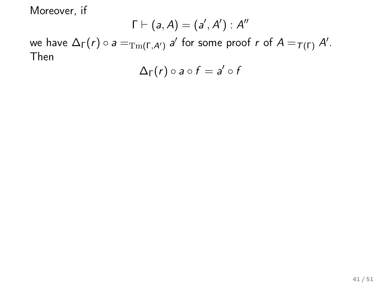$$
\Gamma \vdash (a,A) = (a',A'): A''
$$

we have  $\Delta_{\Gamma}(r) \circ a=_{\mathrm{Tm}(\Gamma,\mathcal{A}')}$   $a'$  for some proof  $r$  of  $A=_{\mathcal{T}(\Gamma)} A'.$ Then

$$
\Delta_{\Gamma}(r) \circ a \circ f = a' \circ f
$$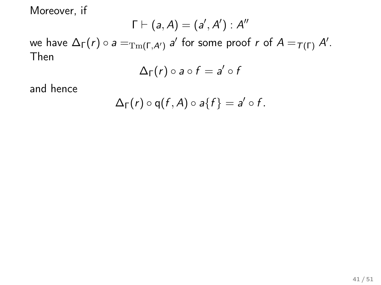$$
\Gamma \vdash (a,A) = (a',A') : A''
$$

we have  $\Delta_{\Gamma}(r) \circ a=_{\mathrm{Tm}(\Gamma,\mathcal{A}')}$   $a'$  for some proof  $r$  of  $A=_{\mathcal{T}(\Gamma)} A'.$ Then

$$
\Delta_{\Gamma}(r) \circ a \circ f = a' \circ f
$$

and hence

$$
\Delta_{\Gamma}(r) \circ q(f,A) \circ a\{f\} = a' \circ f.
$$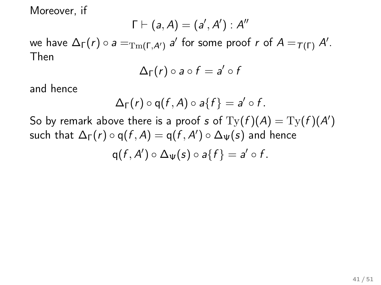$$
\Gamma \vdash (a,A) = (a',A'): A''
$$

we have  $\Delta_{\Gamma}(r) \circ a=_{\mathrm{Tm}(\Gamma,\mathcal{A}')}$   $a'$  for some proof  $r$  of  $A=_{\mathcal{T}(\Gamma)} A'.$ Then

$$
\Delta_{\Gamma}(r) \circ a \circ f = a' \circ f
$$

and hence

$$
\Delta_{\Gamma}(r) \circ q(f,A) \circ a\{f\} = a' \circ f.
$$

So by remark above there is a proof s of  $\mathrm{Ty}(f)(A)=\mathrm{Ty}(f)(A')$ such that  $\Delta_{\Gamma}(r) \circ \mathsf{q}(f,A) = \mathsf{q}(f,A') \circ \Delta_{\Psi}(s)$  and hence  $q(f, A') \circ \Delta_{\Psi}(s) \circ a\{f\} = a' \circ f.$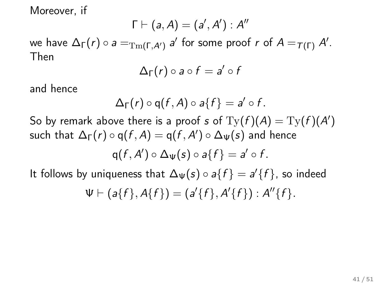$$
\Gamma \vdash (a,A) = (a',A'): A''
$$

we have  $\Delta_{\Gamma}(r) \circ a=_{\mathrm{Tm}(\Gamma,\mathcal{A}')}$   $a'$  for some proof  $r$  of  $A=_{\mathcal{T}(\Gamma)} A'.$ Then

$$
\Delta_{\Gamma}(r) \circ a \circ f = a' \circ f
$$

and hence

$$
\Delta_{\Gamma}(r) \circ q(f,A) \circ a\{f\} = a' \circ f.
$$

So by remark above there is a proof s of  $\mathrm{Ty}(f)(A)=\mathrm{Ty}(f)(A')$ such that  $\Delta_{\Gamma}(r) \circ \mathsf{q}(f,A) = \mathsf{q}(f,A') \circ \Delta_{\Psi}(s)$  and hence  $q(f, A') \circ \Delta_{\Psi}(s) \circ a\{f\} = a' \circ f.$ 

It follows by uniqueness that  $\Delta_{\Psi}(s) \circ a\{f\} = a'\{f\}$ , so indeed

$$
\Psi \vdash (a\{f\}, A\{f\}) = (a'\{f\}, A'\{f\}) : A''\{f\}.
$$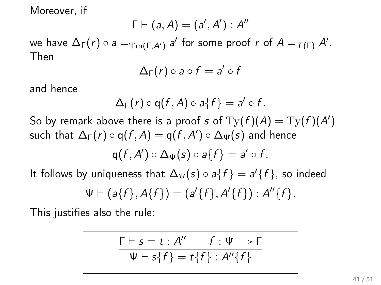$$
\Gamma \vdash (a,A) = (a',A') : A''
$$

we have  $\Delta_{\Gamma}(r) \circ a=_{\mathrm{Tm}(\Gamma,\mathcal{A}')}$   $a'$  for some proof  $r$  of  $A=_{\mathcal{T}(\Gamma)} A'.$ Then

$$
\Delta_{\Gamma}(r) \circ a \circ f = a' \circ f
$$

and hence

$$
\Delta_{\Gamma}(r) \circ q(f,A) \circ a\{f\} = a' \circ f.
$$

So by remark above there is a proof s of  $\mathrm{Ty}(f)(A)=\mathrm{Ty}(f)(A')$ such that  $\Delta_{\Gamma}(r) \circ \mathsf{q}(f,A) = \mathsf{q}(f,A') \circ \Delta_{\Psi}(s)$  and hence

$$
q(f,A')\circ\Delta_{\Psi}(s)\circ a\{f\}=a'\circ f.
$$

It follows by uniqueness that  $\Delta_{\Psi}(s) \circ a\{f\} = a'\{f\}$ , so indeed

$$
\Psi \vdash (a\{f\}, A\{f\}) = (a'\{f\}, A'\{f\}) : A''\{f\}.
$$

This justifies also the rule:

$$
\frac{\Gamma \vdash s = t : A'' \qquad f : \Psi \longrightarrow \Gamma}{\Psi \vdash s\{f\} = t\{f\} : A''\{f\}}
$$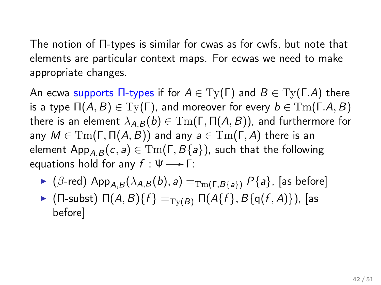The notion of Π-types is similar for cwas as for cwfs, but note that elements are particular context maps. For ecwas we need to make appropriate changes.

An ecwa supports  $\Pi$ -types if for  $A \in \mathrm{Ty}(\Gamma)$  and  $B \in \mathrm{Ty}(\Gamma,A)$  there is a type  $\Pi(A, B) \in \mathrm{Ty}(\Gamma)$ , and moreover for every  $b \in \mathrm{Tm}(\Gamma.A, B)$ there is an element  $\lambda_{A,B}(b) \in \mathrm{Tm}(\Gamma,\Pi(A,B))$ , and furthermore for any  $M \in \mathrm{Tm}(\Gamma, \Pi(A, B))$  and any  $a \in \mathrm{Tm}(\Gamma, A)$  there is an element App<sub>A,B</sub> $(c, a) \in \text{Tm}(\Gamma, B\{a\})$ , such that the following equations hold for any  $f : \Psi \longrightarrow \Gamma$ :

- $\triangleright$  ( $\beta$ -red) App<sub>A,B</sub>( $\lambda_{A,B}(b), a$ ) =<sub>Tm(Γ,B{a}</sub>) P{a}, [as before]
- $\blacktriangleright$  (Π-subst)  $\Pi(A, B) \{f\} =_{\text{Tw}(B)} \Pi(A \{f\}, B \{q(f, A)\})$ , [as before]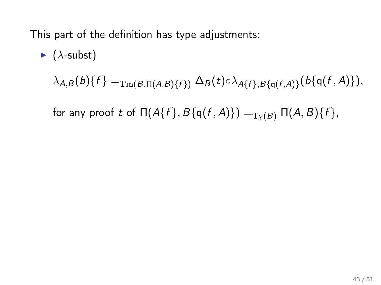This part of the definition has type adjustments:

$$
\triangleright (\lambda\text{-subst})
$$
  

$$
\lambda_{A,B}(b)\{f\} =_{\text{Tm}(B,\Pi(A,B)\{f\})} \Delta_B(t) \circ \lambda_{A\{f\},B\{q(f,A)\}}(b\{q(f,A)\}),
$$

for any proof t of  $\Pi(A\{f\}, B\{q(f, A)\}) =_{\text{Ty}(B)} \Pi(A, B)\{f\},$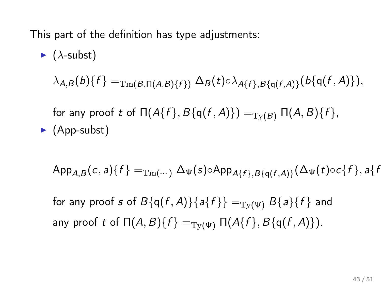This part of the definition has type adjustments:

\n- \n
$$
(\lambda\text{-subst})
$$
\n $\lambda_{A,B}(b)\{f\} =_{\text{Tm}(B,\Pi(A,B)\{f\})} \Delta_B(t) \circ \lambda_{A\{f\},B\{q(f,A)\}}(b\{q(f,A)\}),$ \n for any proof  $t$  of  $\Pi(A\{f\},B\{q(f,A)\}) =_{\text{Ty}(B)} \Pi(A,B)\{f\},$ \n
\n- \n (App-subst)\n
\n

$$
\mathsf{App}_{A,B}(c,a)\lbrace f\rbrace =_{\mathrm{Tm}(\cdots)} \Delta_{\Psi}(s) \circ \mathsf{App}_{A\lbrace f\rbrace, B\lbrace q(f,A)\rbrace}(\Delta_{\Psi}(t) \circ c\lbrace f\rbrace, a\lbrace f\rbrace)
$$

for any proof s of  $B\{q(f,A)\}\{a\{f\}\} = T_Y(\psi) B\{a\}\{f\}$  and any proof t of  $\Pi(A, B)$ { $f$ } =<sub>Ty( $\Psi$ </sub>  $\Pi(A\{f\}, B\{q(f, A)\})$ .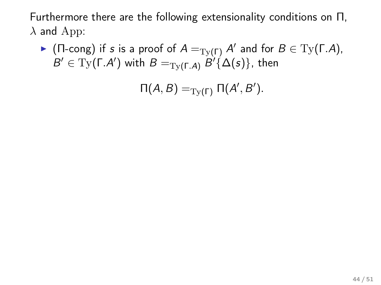Furthermore there are the following extensionality conditions on Π,  $\lambda$  and App:

► (Π-cong) if s is a proof of  $A =_{\text{Ty}(\Gamma)} A'$  and for  $B \in \text{Ty}(\Gamma.A)$ ,  $B' \in \mathrm{Ty}(\Gamma.A')$  with  $B =_{\mathrm{Ty}(\Gamma.A)} B' \{ \Delta(s) \}$ , then

 $\Pi(A, B) =_{\text{Ty}(\Gamma)} \Pi(A', B').$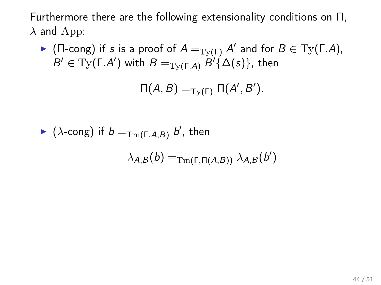Furthermore there are the following extensionality conditions on Π,  $\lambda$  and App:

► (Π-cong) if s is a proof of  $A =_{\text{Ty}(\Gamma)} A'$  and for  $B \in \text{Ty}(\Gamma.A)$ ,  $B' \in \mathrm{Ty}(\Gamma.A')$  with  $B =_{\mathrm{Ty}(\Gamma.A)} B' \{ \Delta(s) \}$ , then

$$
\Pi(A, B) =_{\mathrm{Ty}(\Gamma)} \Pi(A', B').
$$

$$
\triangleright (\lambda\text{-cong}) \text{ if } b =_{\text{Tm}(\Gamma,A,B)} b', \text{ then}
$$

$$
\lambda_{A,B}(b) =_{\text{Tm}(\Gamma,\Pi(A,B))} \lambda_{A,B}(b')
$$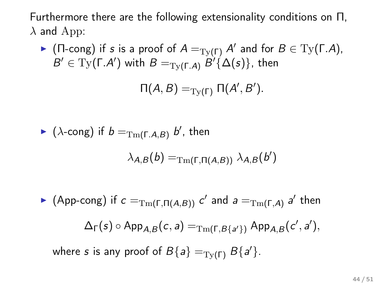Furthermore there are the following extensionality conditions on Π,  $\lambda$  and App:

► (Π-cong) if s is a proof of  $A =_{\text{Ty}(\Gamma)} A'$  and for  $B \in \text{Ty}(\Gamma.A)$ ,  $B' \in \mathrm{Ty}(\Gamma.A')$  with  $B =_{\mathrm{Ty}(\Gamma.A)} B' \{ \Delta(s) \}$ , then

$$
\Pi(A, B) =_{\mathrm{Ty}(\Gamma)} \Pi(A', B').
$$

$$
\triangleright (\lambda\text{-cong}) \text{ if } b =_{\text{Tm}(\Gamma,A,B)} b', \text{ then}
$$

$$
\lambda_{A,B}(b) =_{\text{Tm}(\Gamma,\Pi(A,B))} \lambda_{A,B}(b')
$$

► (App-cong) if  $c =_{\mathrm{Tm}(\Gamma,\Pi(A,B))} c'$  and  $a =_{\mathrm{Tm}(\Gamma,A)} a'$  then  $\Delta_{\mathsf{\Gamma}}(s) \circ \mathsf{App}_{\mathsf{A},\mathsf{B}}(c,a) =_{\mathrm{Tm}(\mathsf{\Gamma},\mathsf{B}\{a'\})} \mathsf{App}_{\mathsf{A},\mathsf{B}}(c',a'),$ where s is any proof of  $B{a} = T_Y(\Gamma) B{a}$ .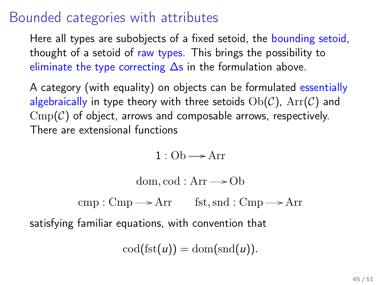## Bounded categories with attributes

Here all types are subobjects of a fixed setoid, the bounding setoid, thought of a setoid of raw types. This brings the possibility to eliminate the type correcting ∆s in the formulation above.

A category (with equality) on objects can be formulated essentially algebraically in type theory with three setoids  $Ob(C)$ ,  $Arr(C)$  and  $\text{Cmp}(\mathcal{C})$  of object, arrows and composable arrows, respectively. There are extensional functions

 $1 : \text{Ob} \longrightarrow \text{Arr}$ 

dom, cod :  $Arr \rightarrow Ob$ 

 $cmp: Cmp \longrightarrow Arr$  fst, snd :  $Cmp \longrightarrow Arr$ 

satisfying familiar equations, with convention that

 $\text{cod}(\text{fst}(u)) = \text{dom}(\text{snd}(u)).$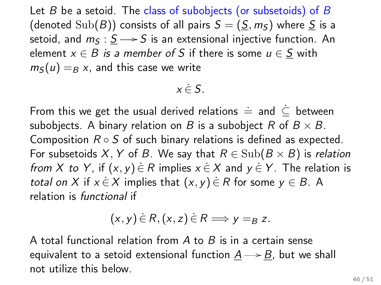Let  $B$  be a setoid. The class of subobjects (or subsetoids) of  $B$ (denoted  $\text{Sub}(B)$ ) consists of all pairs  $S = (S, m<sub>S</sub>)$  where S is a setoid, and  $m<sub>S</sub>$  :  $S \rightarrow S$  is an extensional injective function. An element  $x \in B$  is a member of S if there is some  $u \in S$  with  $m<sub>S</sub>(u) = B x$ , and this case we write

## $x \in S$ .

From this we get the usual derived relations  $\dot{=}$  and  $\subseteq$  between subobjects. A binary relation on B is a subobject R of  $B \times B$ . Composition  $R \circ S$  of such binary relations is defined as expected. For subsetoids X, Y of B. We say that  $R \in Sub(B \times B)$  is relation from X to Y, if  $(x, y) \in R$  implies  $x \in X$  and  $y \in Y$ . The relation is total on X if  $x \in X$  implies that  $(x, y) \in R$  for some  $y \in B$ . A relation is functional if

$$
(x,y)\in R, (x,z)\in R \Longrightarrow y=_{B} z.
$$

A total functional relation from  $A$  to  $B$  is in a certain sense equivalent to a setoid extensional function  $\underline{A} \longrightarrow \underline{B}$ , but we shall not utilize this below.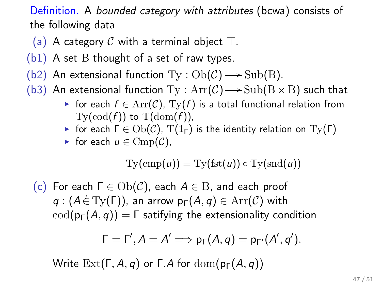Definition. A bounded category with attributes (bcwa) consists of the following data

- (a) A category C with a terminal object  $\top$ .
- $(b1)$  A set B thought of a set of raw types.
- (b2) An extensional function  $Ty : Ob(\mathcal{C}) \longrightarrow Sub(B).$
- (b3) An extensional function  $\mathrm{Ty}: \mathrm{Arr}(\mathcal{C}) {\longrightarrow} \mathrm{Sub}(\mathrm{B} \times \mathrm{B})$  such that
	- ► for each  $f \in \text{Arr}(\mathcal{C})$ ,  $\text{Ty}(f)$  is a total functional relation from  $\mathrm{Ty}(\mathrm{cod}(f))$  to  $\mathrm{T}(\mathrm{dom}(f))$ ,
	- $\triangleright$  for each  $\Gamma \in Ob(\mathcal{C})$ ,  $T(1_{\Gamma})$  is the identity relation on  $Ty(\Gamma)$
	- $\triangleright$  for each  $u \in \text{Cmp}(\mathcal{C}),$

$$
\mathrm{Ty}(\mathrm{cmp}(u))=\mathrm{Ty}(\mathrm{fst}(u))\circ \mathrm{Ty}(\mathrm{snd}(u))
$$

(c) For each  $\Gamma \in Ob(\mathcal{C})$ , each  $A \in B$ , and each proof  $q:(A \in \mathrm{Ty}(\Gamma))$ , an arrow  $p_{\Gamma}(A,q) \in \mathrm{Arr}(\mathcal{C})$  with  $\text{cod}(p_{\Gamma}(A, q)) = \Gamma$  satifying the extensionality condition

$$
\Gamma = \Gamma', A = A' \Longrightarrow p_{\Gamma}(A, q) = p_{\Gamma'}(A', q').
$$

Write  $\text{Ext}(\Gamma, A, q)$  or  $\Gamma$ . A for  $\text{dom}(p_{\Gamma}(A, q))$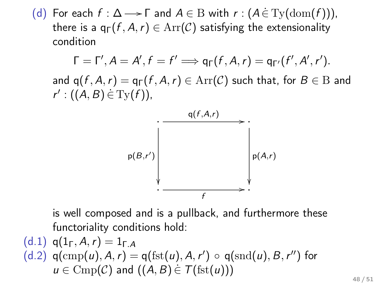(d) For each  $f : \Delta \longrightarrow \Gamma$  and  $A \in B$  with  $r : (A \in \mathrm{Ty}(\mathrm{dom}(f))),$ there is a  $q_{\Gamma}(f, A, r) \in \text{Arr}(\mathcal{C})$  satisfying the extensionality condition

$$
\Gamma = \Gamma', A = A', f = f' \Longrightarrow q_{\Gamma}(f, A, r) = q_{\Gamma'}(f', A', r').
$$
  
and  $q(f, A, r) = q_{\Gamma}(f, A, r) \in Arr(\mathcal{C})$  such that, for  $B \in B$  and  $r' : ((A, B) \in Try(f)),$ 



is well composed and is a pullback, and furthermore these functoriality conditions hold:

(d.1) 
$$
q(I_{\Gamma}, A, r) = 1_{\Gamma.A}
$$
  
(d.2)  $q(\text{cmp}(u), A, r) = q(\text{fst}(u), A, r') \circ q(\text{snd}(u), B, r'')$  for  $u \in \text{Comp}(C)$  and  $((A, B) \in \mathcal{T}(\text{fst}(u)))$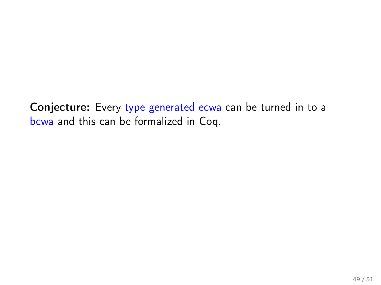Conjecture: Every type generated ecwa can be turned in to a bcwa and this can be formalized in Coq.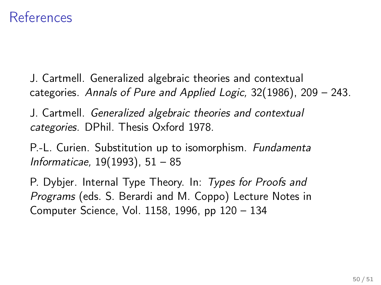## **References**

J. Cartmell. Generalized algebraic theories and contextual categories. Annals of Pure and Applied Logic, 32(1986), 209 – 243.

J. Cartmell. Generalized algebraic theories and contextual categories. DPhil. Thesis Oxford 1978.

P.-L. Curien. Substitution up to isomorphism. Fundamenta Informaticae, 19(1993), 51 – 85

P. Dybjer. Internal Type Theory. In: Types for Proofs and Programs (eds. S. Berardi and M. Coppo) Lecture Notes in Computer Science, Vol. 1158, 1996, pp 120 – 134